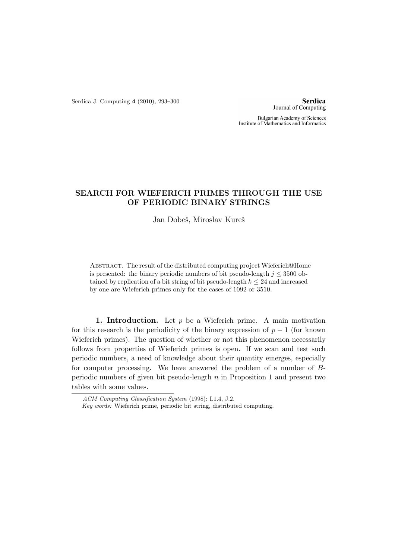Serdica J. Computing 4 (2010), 293–300

**Serdica** Journal of Computing

Bulgarian Academy of Sciences Institute of Mathematics and Informatics

## SEARCH FOR WIEFERICH PRIMES THROUGH THE USE OF PERIODIC BINARY STRINGS

Jan Dobeš, Miroslav Kureš

Abstract. The result of the distributed computing project Wieferich@Home is presented: the binary periodic numbers of bit pseudo-length  $j < 3500$  obtained by replication of a bit string of bit pseudo-length  $k \leq 24$  and increased by one are Wieferich primes only for the cases of 1092 or 3510.

1. Introduction. Let  $p$  be a Wieferich prime. A main motivation for this research is the periodicity of the binary expression of  $p-1$  (for known Wieferich primes). The question of whether or not this phenomenon necessarily follows from properties of Wieferich primes is open. If we scan and test such periodic numbers, a need of knowledge about their quantity emerges, especially for computer processing. We have answered the problem of a number of Bperiodic numbers of given bit pseudo-length n in Proposition 1 and present two tables with some values.

ACM Computing Classification System (1998): I.1.4, J.2.

Key words: Wieferich prime, periodic bit string, distributed computing.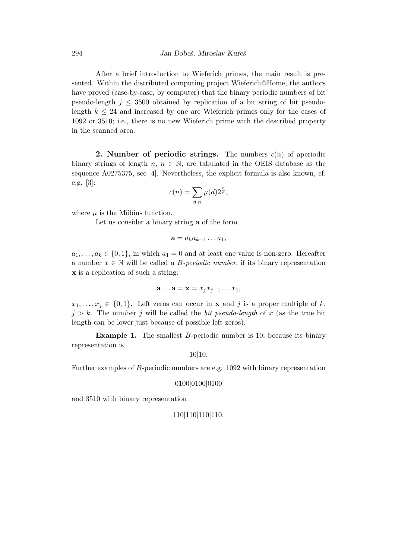After a brief introduction to Wieferich primes, the main result is presented. Within the distributed computing project Wieferich@Home, the authors have proved (case-by-case, by computer) that the binary periodic numbers of bit pseudo-length  $j \leq 3500$  obtained by replication of a bit string of bit pseudolength  $k \leq 24$  and increased by one are Wieferich primes only for the cases of 1092 or 3510; i.e., there is no new Wieferich prime with the described property in the scanned area.

**2. Number of periodic strings.** The numbers  $c(n)$  of aperiodic binary strings of length  $n, n \in \mathbb{N}$ , are tabulated in the OEIS database as the sequence A0275375, see [4]. Nevertheless, the explicit formula is also known, cf. e.g. [3]:

$$
c(n) = \sum_{d|n} \mu(d) 2^{\frac{n}{d}},
$$

where  $\mu$  is the Möbius function.

Let us consider a binary string a of the form

$$
\mathbf{a}=a_k a_{k-1} \dots a_1,
$$

 $a_1, \ldots, a_k \in \{0,1\}$ , in which  $a_1 = 0$  and at least one value is non-zero. Hereafter a number  $x \in \mathbb{N}$  will be called a *B-periodic number*, if its binary representation x is a replication of such a string:

$$
\mathbf{a}\ldots\mathbf{a}=\mathbf{x}=x_jx_{j-1}\ldots x_1,
$$

 $x_1, \ldots, x_j \in \{0, 1\}.$  Left zeros can occur in **x** and j is a proper multiple of k,  $j > k$ . The number j will be called the bit pseudo-length of x (as the true bit length can be lower just because of possible left zeros).

**Example 1.** The smallest *B*-periodic number is 10, because its binary representation is

10|10.

Further examples of B-periodic numbers are e.g. 1092 with binary representation

0100|0100|0100

and 3510 with binary representation

$$
110|110|110|110.
$$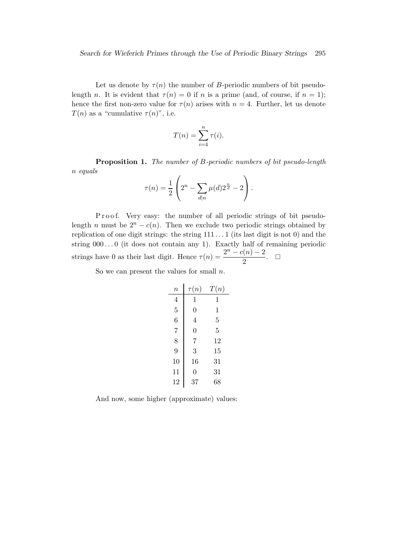Let us denote by  $\tau(n)$  the number of B-periodic numbers of bit pseudolength n. It is evident that  $\tau(n) = 0$  if n is a prime (and, of course, if  $n = 1$ ); hence the first non-zero value for  $\tau(n)$  arises with  $n = 4$ . Further, let us denote  $T(n)$  as a "cumulative  $\tau(n)$ ", i.e.

$$
T(n) = \sum_{i=4}^{n} \tau(i).
$$

Proposition 1. The number of B-periodic numbers of bit pseudo-length n equals  $\overline{ }$  $\lambda$ 

$$
\tau(n) = \frac{1}{2} \left( 2^n - \sum_{d|n} \mu(d) 2^{\frac{n}{d}} - 2 \right).
$$

P r o o f. Very easy: the number of all periodic strings of bit pseudolength n must be  $2^n - c(n)$ . Then we exclude two periodic strings obtained by replication of one digit strings: the string 111 . . . 1 (its last digit is not 0) and the string  $000...0$  (it does not contain any 1). Exactly half of remaining periodic strings have 0 as their last digit. Hence  $\tau(n) = \frac{2^n - c(n) - 2}{2}$  $\frac{\Gamma(n)-2}{2}$ .  $\Box$ 

So we can present the values for small  $n$ .

| $\it n$        | $\tau(n)$      | T(n)           |
|----------------|----------------|----------------|
| $\overline{4}$ | 1              | 1              |
| $\overline{5}$ | $\overline{0}$ | $\,1\,$        |
| 6              | $\overline{4}$ | 5              |
| $\overline{7}$ | $\overline{0}$ | $\overline{5}$ |
| 8              | $\overline{7}$ | 12             |
| 9              | 3              | 15             |
| 10             | 16             | 31             |
| 11             | 0              | 31             |
| 12             | 37             | 68             |

And now, some higher (approximate) values: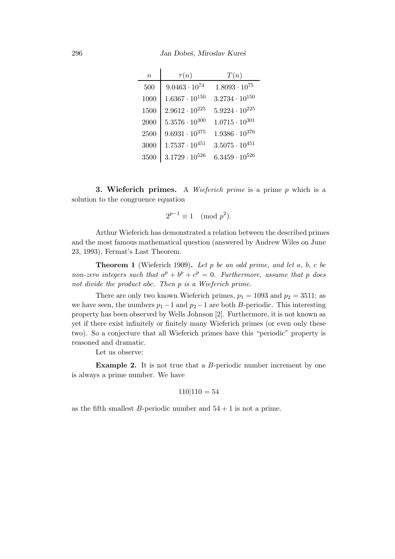296 Jan Dobeš, Miroslav Kureš

| $\boldsymbol{n}$ | $\tau(n)$               | T(n)                    |
|------------------|-------------------------|-------------------------|
| 500              | $9.0463\cdot10^{74}$    | $1.8093 \cdot 10^{75}$  |
| 1000             | $1.6367 \cdot 10^{150}$ | $3.2734 \cdot 10^{150}$ |
| 1500             | $2.9612 \cdot 10^{225}$ | $5.9224 \cdot 10^{225}$ |
| 2000             | $5.3576 \cdot 10^{300}$ | $1.0715 \cdot 10^{301}$ |
| 2500             | $9.6931 \cdot 10^{375}$ | $1.9386 \cdot 10^{376}$ |
| 3000             | $1.7537 \cdot 10^{451}$ | $3.5075 \cdot 10^{451}$ |
| 3500             | $3.1729 \cdot 10^{526}$ | $6.3459 \cdot 10^{526}$ |

**3. Wieferich primes.** A *Wieferich prime* is a prime  $p$  which is a solution to the congruence equation

$$
2^{p-1} \equiv 1 \pmod{p^2}.
$$

Arthur Wieferich has demonstrated a relation between the described primes and the most famous mathematical question (answered by Andrew Wiles on June 23, 1993), Fermat's Last Theorem.

**Theorem 1** (Wieferich 1909). Let p be an odd prime, and let  $a, b, c$  be non-zero integers such that  $a^p + b^p + c^p = 0$ . Furthermore, assume that p does not divide the product abc. Then p is a Wieferich prime.

There are only two known Wieferich primes,  $p_1 = 1093$  and  $p_2 = 3511$ ; as we have seen, the numbers  $p_1-1$  and  $p_2-1$  are both B-periodic. This interesting property has been observed by Wells Johnson [2]. Furthermore, it is not known as yet if there exist infinitely or finitely many Wieferich primes (or even only these two). So a conjecture that all Wieferich primes have this "periodic" property is reasoned and dramatic.

Let us observe:

Example 2. It is not true that a B-periodic number increment by one is always a prime number. We have

$$
110|110 = 54
$$

as the fifth smallest B-periodic number and  $54 + 1$  is not a prime.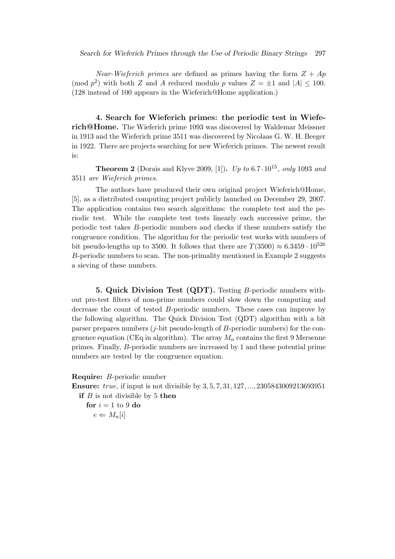Near-Wieferich primes are defined as primes having the form  $Z + Ap$ (mod  $p^2$ ) with both Z and A reduced modulo p values  $Z = \pm 1$  and  $|A| \le 100$ . (128 instead of 100 appears in the Wieferich@Home application.)

4. Search for Wieferich primes: the periodic test in Wieferich@Home. The Wieferich prime 1093 was discovered by Waldemar Meissner in 1913 and the Wieferich prime 3511 was discovered by Nicolaas G. W. H. Beeger in 1922. There are projects searching for new Wieferich primes. The newest result is:

**Theorem 2** (Dorais and Klyve 2009, [1]). Up to  $6.7 \cdot 10^{15}$ , only 1093 and 3511 are Wieferich primes.

The authors have produced their own original project Wieferich@Home, [5], as a distributed computing project publicly launched on December 29, 2007. The application contains two search algorithms: the complete test and the periodic test. While the complete test tests linearly each successive prime, the periodic test takes B-periodic numbers and checks if these numbers satisfy the congruence condition. The algorithm for the periodic test works with numbers of bit pseudo-lengths up to 3500. It follows that there are  $T(3500) \approx 6.3459 \cdot 10^{526}$ B-periodic numbers to scan. The non-primality mentioned in Example 2 suggests a sieving of these numbers.

5. Quick Division Test (QDT). Testing B-periodic numbers without pre-test filters of non-prime numbers could slow down the computing and decrease the count of tested B-periodic numbers. These cases can improve by the following algorithm. The Quick Division Test (QDT) algorithm with a bit parser prepares numbers  $(j$ -bit pseudo-length of  $B$ -periodic numbers) for the congruence equation (CEq in algorithm). The array  $M_n$  contains the first 9 Mersenne primes. Finally, B-periodic numbers are increased by 1 and these potential prime numbers are tested by the congruence equation.

Require: B-periodic number

Ensure: true, if input is not divisible by 3, 5, 7, 31, 127, ..., 2305843009213693951

if  $B$  is not divisible by 5 then

for  $i = 1$  to 9 do  $e \leftarrow M_n[i]$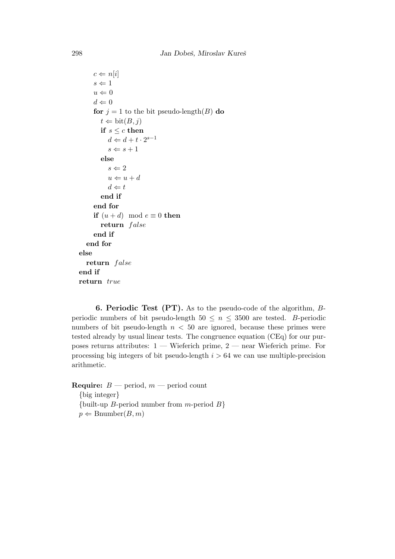```
c \Leftarrow n[i]s\Leftarrow 1u \Leftarrow 0d \Leftarrow 0for j = 1 to the bit pseudo-length(B) do
        t \Leftarrow \text{bit}(B, j)if s \leq c then
            d \Leftarrow d + t \cdot 2^{s-1}s \Leftarrow s + 1else
            s \Leftarrow 2u \Leftarrow u + dd \Leftarrow tend if
      end for
     if (u + d) \mod e \equiv 0 then
         return false
      end if
  end for
else
  return false
end if
return true
```
6. Periodic Test (PT). As to the pseudo-code of the algorithm, Bperiodic numbers of bit pseudo-length  $50 \leq n \leq 3500$  are tested. B-periodic numbers of bit pseudo-length  $n < 50$  are ignored, because these primes were tested already by usual linear tests. The congruence equation (CEq) for our purposes returns attributes:  $1 -$  Wieferich prime,  $2 -$  near Wieferich prime. For processing big integers of bit pseudo-length  $i > 64$  we can use multiple-precision arithmetic.

**Require:**  $B$  — period,  $m$  — period count

{big integer} {built-up *B*-period number from *m*-period *B*}  $p \leftarrow$  Bnumber $(B, m)$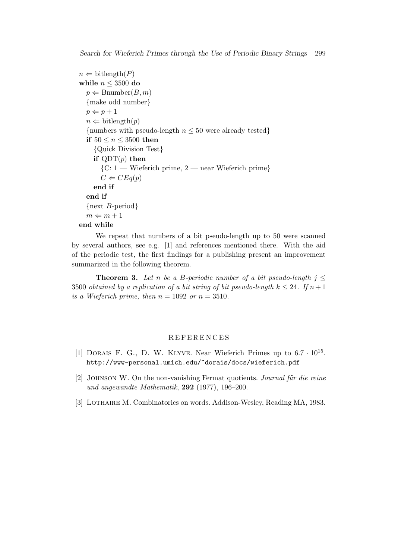```
n \leftarrow \text{bitlength}(P)while n \leq 3500 do
  p \leftarrow Bnumber(B, m){make odd number}
  p \Leftarrow p + 1n \Leftarrow \text{bitlength}(p){numbers with pseudo-length n \leq 50 were already tested}
  if 50 \le n \le 3500 then
     {Quick Division Test}
    if QDT(p) then
        {C: 1 - Wierrich prime, 2 - near Wierferich prime}C \Leftarrow CEq(p)end if
  end if
  {next B-period}
  m \Leftarrow m + 1end while
```
We repeat that numbers of a bit pseudo-length up to 50 were scanned by several authors, see e.g. [1] and references mentioned there. With the aid of the periodic test, the first findings for a publishing present an improvement summarized in the following theorem.

**Theorem 3.** Let n be a B-periodic number of a bit pseudo-length  $j \leq$ 3500 obtained by a replication of a bit string of bit pseudo-length  $k \leq 24$ . If  $n+1$ is a Wieferich prime, then  $n = 1092$  or  $n = 3510$ .

## **REFERENCES**

- [1] DORAIS F. G., D. W. KLYVE. Near Wieferich Primes up to  $6.7 \cdot 10^{15}$ . http://www-personal.umich.edu/~dorais/docs/wieferich.pdf
- [2] JOHNSON W. On the non-vanishing Fermat quotients. *Journal für die reine* und angewandte Mathematik, 292 (1977), 196–200.
- [3] LOTHAIRE M. Combinatorics on words. Addison-Wesley, Reading MA, 1983.